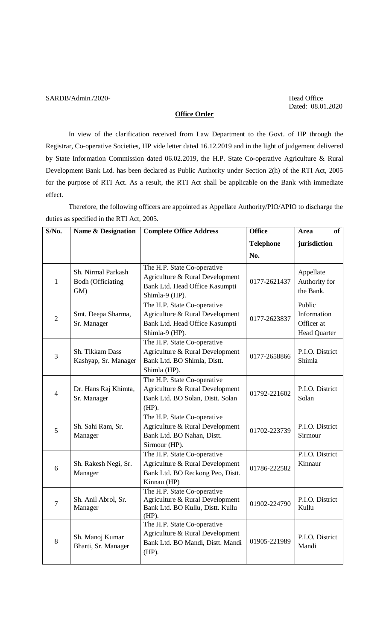## SARDB/Admin./2020-<br>
Head Office

Dated: 08.01.2020

## **Office Order**

In view of the clarification received from Law Department to the Govt. of HP through the Registrar, Co-operative Societies, HP vide letter dated 16.12.2019 and in the light of judgement delivered by State Information Commission dated 06.02.2019, the H.P. State Co-operative Agriculture & Rural Development Bank Ltd. has been declared as Public Authority under Section 2(h) of the RTI Act, 2005 for the purpose of RTI Act. As a result, the RTI Act shall be applicable on the Bank with immediate effect.

Therefore, the following officers are appointed as Appellate Authority/PIO/APIO to discharge the duties as specified in the RTI Act, 2005.

| $S/N0$ .       | <b>Name &amp; Designation</b>                         | <b>Complete Office Address</b>                                                                                     | <b>Office</b>    | of<br><b>Area</b>                                          |
|----------------|-------------------------------------------------------|--------------------------------------------------------------------------------------------------------------------|------------------|------------------------------------------------------------|
|                |                                                       |                                                                                                                    | <b>Telephone</b> | jurisdiction                                               |
|                |                                                       |                                                                                                                    | No.              |                                                            |
| 1              | Sh. Nirmal Parkash<br><b>Bodh (Officiating</b><br>GM) | The H.P. State Co-operative<br>Agriculture & Rural Development<br>Bank Ltd. Head Office Kasumpti<br>Shimla-9 (HP). | 0177-2621437     | Appellate<br>Authority for<br>the Bank.                    |
| $\overline{2}$ | Smt. Deepa Sharma,<br>Sr. Manager                     | The H.P. State Co-operative<br>Agriculture & Rural Development<br>Bank Ltd. Head Office Kasumpti<br>Shimla-9 (HP). | 0177-2623837     | Public<br>Information<br>Officer at<br><b>Head Quarter</b> |
| 3              | Sh. Tikkam Dass<br>Kashyap, Sr. Manager               | The H.P. State Co-operative<br>Agriculture & Rural Development<br>Bank Ltd. BO Shimla, Distt.<br>Shimla (HP).      | 0177-2658866     | P.I.O. District<br>Shimla                                  |
| $\overline{4}$ | Dr. Hans Raj Khimta,<br>Sr. Manager                   | The H.P. State Co-operative<br>Agriculture & Rural Development<br>Bank Ltd. BO Solan, Distt. Solan<br>$(HP)$ .     | 01792-221602     | P.I.O. District<br>Solan                                   |
| 5              | Sh. Sahi Ram, Sr.<br>Manager                          | The H.P. State Co-operative<br>Agriculture & Rural Development<br>Bank Ltd. BO Nahan, Distt.<br>Sirmour (HP).      | 01702-223739     | P.I.O. District<br>Sirmour                                 |
| 6              | Sh. Rakesh Negi, Sr.<br>Manager                       | The H.P. State Co-operative<br>Agriculture & Rural Development<br>Bank Ltd. BO Reckong Peo, Distt.<br>Kinnau (HP)  | 01786-222582     | P.I.O. District<br>Kinnaur                                 |
| $\overline{7}$ | Sh. Anil Abrol, Sr.<br>Manager                        | The H.P. State Co-operative<br>Agriculture & Rural Development<br>Bank Ltd. BO Kullu, Distt. Kullu<br>$(HP)$ .     | 01902-224790     | P.I.O. District<br>Kullu                                   |
| 8              | Sh. Manoj Kumar<br>Bharti, Sr. Manager                | The H.P. State Co-operative<br>Agriculture & Rural Development<br>Bank Ltd. BO Mandi, Distt. Mandi<br>$(HP)$ .     | 01905-221989     | P.I.O. District<br>Mandi                                   |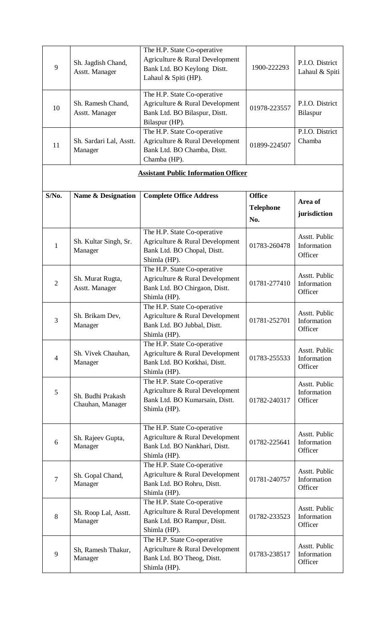|                |                                 | The H.P. State Co-operative                                    |                  |                              |
|----------------|---------------------------------|----------------------------------------------------------------|------------------|------------------------------|
|                | Sh. Jagdish Chand,              | Agriculture & Rural Development                                |                  | P.I.O. District              |
| 9              | Asstt. Manager                  | Bank Ltd. BO Keylong Distt.                                    | 1900-222293      | Lahaul & Spiti               |
|                |                                 | Lahaul & Spiti (HP).                                           |                  |                              |
|                |                                 |                                                                |                  |                              |
|                | Sh. Ramesh Chand,               | The H.P. State Co-operative<br>Agriculture & Rural Development |                  | P.I.O. District              |
| 10             | Asstt. Manager                  | Bank Ltd. BO Bilaspur, Distt.                                  | 01978-223557     | Bilaspur                     |
|                |                                 | Bilaspur (HP).                                                 |                  |                              |
|                |                                 | The H.P. State Co-operative                                    |                  | P.I.O. District              |
|                | Sh. Sardari Lal, Asstt.         | Agriculture & Rural Development                                |                  | Chamba                       |
| 11             | Manager                         | Bank Ltd. BO Chamba, Distt.                                    | 01899-224507     |                              |
|                |                                 | Chamba (HP).                                                   |                  |                              |
|                |                                 | <b>Assistant Public Information Officer</b>                    |                  |                              |
|                |                                 |                                                                |                  |                              |
| S/No.          | <b>Name &amp; Designation</b>   | <b>Complete Office Address</b>                                 | <b>Office</b>    |                              |
|                |                                 |                                                                |                  | Area of                      |
|                |                                 |                                                                | <b>Telephone</b> | jurisdiction                 |
|                |                                 |                                                                | No.              |                              |
|                |                                 | The H.P. State Co-operative                                    |                  |                              |
| 1              | Sh. Kultar Singh, Sr.           | Agriculture & Rural Development                                | 01783-260478     | Asstt. Public<br>Information |
|                | Manager                         | Bank Ltd. BO Chopal, Distt.                                    |                  | Officer                      |
|                |                                 | Shimla (HP).                                                   |                  |                              |
|                |                                 | The H.P. State Co-operative                                    |                  | Asstt. Public                |
| $\overline{2}$ | Sh. Murat Rugta,                | Agriculture & Rural Development                                | 01781-277410     | Information                  |
|                | Asstt. Manager                  | Bank Ltd. BO Chirgaon, Distt.                                  |                  | Officer                      |
|                |                                 | Shimla (HP).                                                   |                  |                              |
|                |                                 | The H.P. State Co-operative                                    |                  | Asstt. Public                |
| 3              | Sh. Brikam Dev,                 | Agriculture & Rural Development                                | 01781-252701     | Information                  |
|                | Manager                         | Bank Ltd. BO Jubbal, Distt.                                    |                  | Officer                      |
|                |                                 | Shimla (HP).<br>The H.P. State Co-operative                    |                  |                              |
|                | Sh. Vivek Chauhan,              | Agriculture & Rural Development                                |                  | Asstt. Public                |
| 4              | Manager                         | Bank Ltd. BO Kotkhai, Distt.                                   | 01783-255533     | Information                  |
|                |                                 | Shimla (HP).                                                   |                  | Officer                      |
|                |                                 | The H.P. State Co-operative                                    |                  |                              |
| 5              |                                 | Agriculture & Rural Development                                |                  | Asstt. Public<br>Information |
|                | Sh. Budhi Prakash               | Bank Ltd. BO Kumarsain, Distt.                                 | 01782-240317     | Officer                      |
|                | Chauhan, Manager                | Shimla (HP).                                                   |                  |                              |
|                |                                 |                                                                |                  |                              |
|                |                                 | The H.P. State Co-operative                                    |                  | Asstt. Public                |
| 6              | Sh. Rajeev Gupta,               | Agriculture & Rural Development                                | 01782-225641     | Information                  |
|                | Manager                         | Bank Ltd. BO Nankhari, Distt.                                  |                  | Officer                      |
|                |                                 | Shimla (HP).                                                   |                  |                              |
|                |                                 | The H.P. State Co-operative                                    |                  | Asstt. Public                |
| $\overline{7}$ | Sh. Gopal Chand,                | Agriculture & Rural Development                                | 01781-240757     | Information                  |
|                | Manager                         | Bank Ltd. BO Rohru, Distt.<br>Shimla (HP).                     |                  | Officer                      |
|                |                                 | The H.P. State Co-operative                                    |                  |                              |
|                |                                 | Agriculture & Rural Development                                |                  | Asstt. Public                |
| 8              | Sh. Roop Lal, Asstt.<br>Manager | Bank Ltd. BO Rampur, Distt.                                    | 01782-233523     | Information                  |
|                |                                 | Shimla (HP).                                                   |                  | Officer                      |
|                |                                 | The H.P. State Co-operative                                    |                  |                              |
|                | Sh, Ramesh Thakur,              | Agriculture & Rural Development                                |                  | Asstt. Public                |
| 9              | Manager                         | Bank Ltd. BO Theog, Distt.                                     | 01783-238517     | Information                  |
|                |                                 | Shimla (HP).                                                   |                  | Officer                      |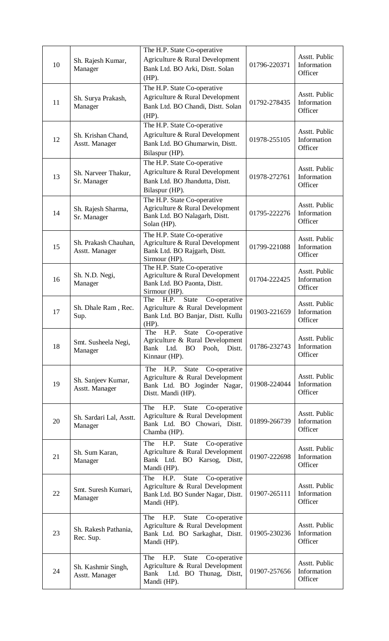| 10 | Sh. Rajesh Kumar,<br>Manager           | The H.P. State Co-operative<br>Agriculture & Rural Development<br>Bank Ltd. BO Arki, Distt. Solan<br>$(HP)$ .                                | 01796-220371 | Asstt. Public<br>Information<br>Officer |
|----|----------------------------------------|----------------------------------------------------------------------------------------------------------------------------------------------|--------------|-----------------------------------------|
| 11 | Sh. Surya Prakash,<br>Manager          | The H.P. State Co-operative<br>Agriculture & Rural Development<br>Bank Ltd. BO Chandi, Distt. Solan<br>$(HP)$ .                              | 01792-278435 | Asstt. Public<br>Information<br>Officer |
| 12 | Sh. Krishan Chand,<br>Asstt. Manager   | The H.P. State Co-operative<br>Agriculture & Rural Development<br>Bank Ltd. BO Ghumarwin, Distt.<br>Bilaspur (HP).                           | 01978-255105 | Asstt. Public<br>Information<br>Officer |
| 13 | Sh. Narveer Thakur,<br>Sr. Manager     | The H.P. State Co-operative<br>Agriculture & Rural Development<br>Bank Ltd. BO Jhandutta, Distt.<br>Bilaspur (HP).                           | 01978-272761 | Asstt. Public<br>Information<br>Officer |
| 14 | Sh. Rajesh Sharma,<br>Sr. Manager      | The H.P. State Co-operative<br>Agriculture & Rural Development<br>Bank Ltd. BO Nalagarh, Distt.<br>Solan (HP).                               | 01795-222276 | Asstt. Public<br>Information<br>Officer |
| 15 | Sh. Prakash Chauhan,<br>Asstt. Manager | The H.P. State Co-operative<br>Agriculture & Rural Development<br>Bank Ltd. BO Rajgarh, Distt.<br>Sirmour (HP).                              | 01799-221088 | Asstt. Public<br>Information<br>Officer |
| 16 | Sh. N.D. Negi,<br>Manager              | The H.P. State Co-operative<br>Agriculture & Rural Development<br>Bank Ltd. BO Paonta, Distt.<br>Sirmour (HP).                               | 01704-222425 | Asstt. Public<br>Information<br>Officer |
| 17 | Sh. Dhale Ram, Rec.<br>Sup.            | <b>State</b><br>Co-operative<br>The<br>H.P.<br>Agriculture & Rural Development<br>Bank Ltd. BO Banjar, Distt. Kullu<br>$(HP)$ .              | 01903-221659 | Asstt. Public<br>Information<br>Officer |
| 18 | Smt. Susheela Negi,<br>Manager         | The<br>H.P.<br><b>State</b><br>Co-operative<br>Agriculture & Rural Development<br>Bank Ltd.<br><b>BO</b><br>Distt.<br>Pooh,<br>Kinnaur (HP). | 01786-232743 | Asstt. Public<br>Information<br>Officer |
| 19 | Sh. Sanjeev Kumar,<br>Asstt. Manager   | <b>State</b><br>H.P.<br>Co-operative<br>The<br>Agriculture & Rural Development<br>Bank Ltd. BO Joginder Nagar,<br>Distt. Mandi (HP).         | 01908-224044 | Asstt. Public<br>Information<br>Officer |
| 20 | Sh. Sardari Lal, Asstt.<br>Manager     | H.P.<br>State<br>The<br>Co-operative<br>Agriculture & Rural Development<br>Bank Ltd. BO Chowari, Distt.<br>Chamba (HP).                      | 01899-266739 | Asstt. Public<br>Information<br>Officer |
| 21 | Sh. Sum Karan,<br>Manager              | H.P.<br><b>State</b><br>The<br>Co-operative<br>Agriculture & Rural Development<br>Bank Ltd. BO Karsog, Distt,<br>Mandi (HP).                 | 01907-222698 | Asstt. Public<br>Information<br>Officer |
| 22 | Smt. Suresh Kumari,<br>Manager         | <b>State</b><br>H.P.<br>The<br>Co-operative<br>Agriculture & Rural Development<br>Bank Ltd. BO Sunder Nagar, Distt.<br>Mandi (HP).           | 01907-265111 | Asstt. Public<br>Information<br>Officer |
| 23 | Sh. Rakesh Pathania,<br>Rec. Sup.      | The<br>H.P.<br>State<br>Co-operative<br>Agriculture & Rural Development<br>Bank Ltd. BO Sarkaghat, Distt.<br>Mandi (HP).                     | 01905-230236 | Asstt. Public<br>Information<br>Officer |
| 24 | Sh. Kashmir Singh,<br>Asstt. Manager   | H.P.<br>State<br>Co-operative<br>The<br>Agriculture & Rural Development<br>Ltd. BO Thunag, Distt,<br>Bank<br>Mandi (HP).                     | 01907-257656 | Asstt. Public<br>Information<br>Officer |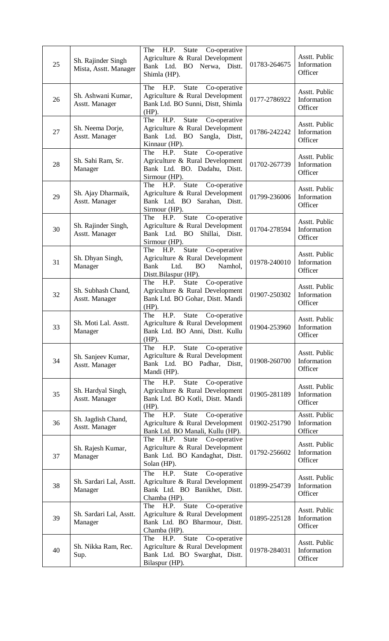| 25 | Sh. Rajinder Singh<br>Mista, Asstt. Manager | The<br>H.P.<br>State<br>Co-operative<br>Agriculture & Rural Development<br>Bank Ltd. BO Nerwa, Distt.<br>Shimla (HP).                          | 01783-264675 | Asstt. Public<br>Information<br>Officer |
|----|---------------------------------------------|------------------------------------------------------------------------------------------------------------------------------------------------|--------------|-----------------------------------------|
| 26 | Sh. Ashwani Kumar,<br>Asstt. Manager        | The<br>H.P.<br><b>State</b><br>Co-operative<br>Agriculture & Rural Development<br>Bank Ltd. BO Sunni, Distt, Shimla<br>$(HP)$ .                | 0177-2786922 | Asstt. Public<br>Information<br>Officer |
| 27 | Sh. Neema Dorje,<br>Asstt. Manager          | H.P.<br>The<br><b>State</b><br>Co-operative<br>Agriculture & Rural Development<br>Bank Ltd. BO<br>Sangla,<br>Distt,<br>Kinnaur (HP).           | 01786-242242 | Asstt. Public<br>Information<br>Officer |
| 28 | Sh. Sahi Ram, Sr.<br>Manager                | <b>State</b><br>Co-operative<br>The<br>H.P.<br>Agriculture & Rural Development<br>Bank Ltd. BO. Dadahu, Distt.<br>Sirmour (HP).                | 01702-267739 | Asstt. Public<br>Information<br>Officer |
| 29 | Sh. Ajay Dharmaik,<br>Asstt. Manager        | <b>State</b><br>The<br>Co-operative<br>H.P.<br>Agriculture & Rural Development<br>Bank Ltd. BO Sarahan, Distt.<br>Sirmour (HP).                | 01799-236006 | Asstt. Public<br>Information<br>Officer |
| 30 | Sh. Rajinder Singh,<br>Asstt. Manager       | State<br>The<br>H.P.<br>Co-operative<br>Agriculture & Rural Development<br>Bank Ltd. BO<br>Shillai, Distt.<br>Sirmour (HP).                    | 01704-278594 | Asstt. Public<br>Information<br>Officer |
| 31 | Sh. Dhyan Singh,<br>Manager                 | State<br>Co-operative<br>The<br>H.P.<br>Agriculture & Rural Development<br><b>Bank</b><br>Ltd.<br>Namhol,<br><b>BO</b><br>Distt.Bilaspur (HP). | 01978-240010 | Asstt. Public<br>Information<br>Officer |
| 32 | Sh. Subhash Chand,<br>Asstt. Manager        | The<br>State<br>H.P.<br>Co-operative<br>Agriculture & Rural Development<br>Bank Ltd. BO Gohar, Distt. Mandi<br>$(HP)$ .                        | 01907-250302 | Asstt. Public<br>Information<br>Officer |
| 33 | Sh. Moti Lal. Asstt.<br>Manager             | H.P.<br><b>State</b><br>Co-operative<br>The<br>Agriculture & Rural Development<br>Bank Ltd. BO Anni, Distt. Kullu<br>$(HP)$ .                  | 01904-253960 | Asstt. Public<br>Information<br>Officer |
| 34 | Sh. Sanjeev Kumar,<br>Asstt. Manager        | H.P.<br><b>State</b><br>The<br>Co-operative<br>Agriculture & Rural Development<br>Bank Ltd. BO Padhar, Distt,<br>Mandi (HP).                   | 01908-260700 | Asstt. Public<br>Information<br>Officer |
| 35 | Sh. Hardyal Singh,<br>Asstt. Manager        | H.P.<br><b>State</b><br>The<br>Co-operative<br>Agriculture & Rural Development<br>Bank Ltd. BO Kotli, Distt. Mandi<br>$(HP)$ .                 | 01905-281189 | Asstt. Public<br>Information<br>Officer |
| 36 | Sh. Jagdish Chand,<br>Asstt. Manager        | H.P.<br><b>State</b><br>Co-operative<br>The<br>Agriculture & Rural Development<br>Bank Ltd. BO Manali, Kullu (HP).                             | 01902-251790 | Asstt. Public<br>Information<br>Officer |
| 37 | Sh. Rajesh Kumar,<br>Manager                | The<br>H.P.<br><b>State</b><br>Co-operative<br>Agriculture & Rural Development<br>Bank Ltd. BO Kandaghat, Distt.<br>Solan (HP).                | 01792-256602 | Asstt. Public<br>Information<br>Officer |
| 38 | Sh. Sardari Lal, Asstt.<br>Manager          | The<br>H.P.<br><b>State</b><br>Co-operative<br>Agriculture & Rural Development<br>Bank Ltd. BO Banikhet, Distt.<br>Chamba (HP).                | 01899-254739 | Asstt. Public<br>Information<br>Officer |
| 39 | Sh. Sardari Lal, Asstt.<br>Manager          | <b>State</b><br>The<br>H.P.<br>Co-operative<br>Agriculture & Rural Development<br>Bank Ltd. BO Bharmour, Distt.<br>Chamba (HP).                | 01895-225128 | Asstt. Public<br>Information<br>Officer |
| 40 | Sh. Nikka Ram, Rec.<br>Sup.                 | <b>State</b><br>The<br>Co-operative<br>H.P.<br>Agriculture & Rural Development<br>Bank Ltd. BO Swarghat, Distt.<br>Bilaspur (HP).              | 01978-284031 | Asstt. Public<br>Information<br>Officer |